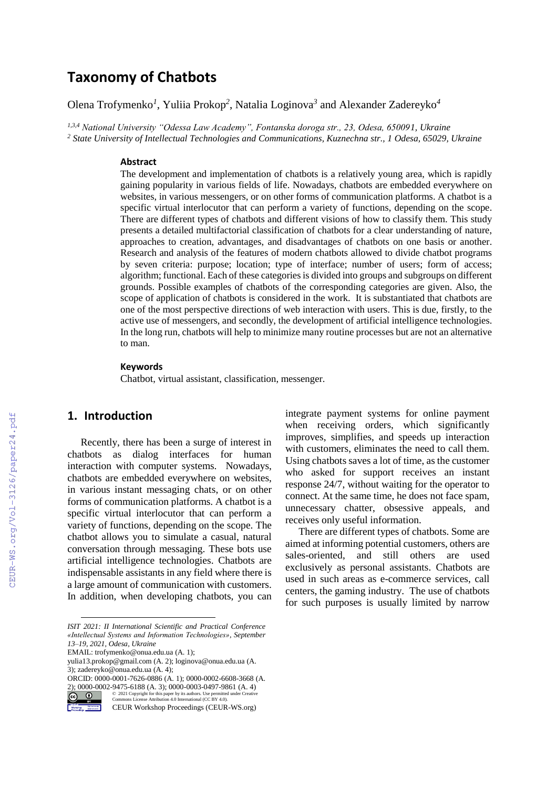# **Taxonomy of Chatbots**

Olena Trofymenko*<sup>1</sup>* , Yuliia Prokop*<sup>2</sup>* , Natalia Loginova*<sup>3</sup>* and Alexander Zadereyko*<sup>4</sup>*

*1,3,4 National University "Odessa Law Academy", Fontanska doroga str., 23, Odesa, 650091, Ukraine <sup>2</sup> State University of Intellectual Technologies and Communications, Kuznechna str., 1 Odesa, 65029, Ukraine*

#### **Abstract**

The development and implementation of chatbots is a relatively young area, which is rapidly gaining popularity in various fields of life. Nowadays, chatbots are embedded everywhere on websites, in various messengers, or on other forms of communication platforms. A chatbot is a specific virtual interlocutor that can perform a variety of functions, depending on the scope. There are different types of chatbots and different visions of how to classify them. This study presents a detailed multifactorial classification of chatbots for a clear understanding of nature, approaches to creation, advantages, and disadvantages of chatbots on one basis or another. Research and analysis of the features of modern chatbots allowed to divide chatbot programs by seven criteria: purpose; location; type of interface; number of users; form of access; algorithm; functional. Each of these categories is divided into groups and subgroups on different grounds. Possible examples of chatbots of the corresponding categories are given. Also, the scope of application of chatbots is considered in the work. It is substantiated that chatbots are one of the most perspective directions of web interaction with users. This is due, firstly, to the active use of messengers, and secondly, the development of artificial intelligence technologies. In the long run, chatbots will help to minimize many routine processes but are not an alternative to man.

#### **Keywords**

Chatbot, virtual assistant, classification, messenger.

### **1. Introduction**

Recently, there has been a surge of interest in chatbots as dialog interfaces for human interaction with computer systems. Nowadays, chatbots are embedded everywhere on websites, in various instant messaging chats, or on other forms of communication platforms. A chatbot is a specific virtual interlocutor that can perform a variety of functions, depending on the scope. The chatbot allows you to simulate a casual, natural conversation through messaging. These bots use artificial intelligence technologies. Chatbots are indispensable assistants in any field where there is a large amount of communication with customers. In addition, when developing chatbots, you can

EMAIL: trofymenko@onua.edu.ua (A. 1);

ORCID: 0000-0001-7626-0886 (A. 1); 0000-0002-6608-3668 (A. 2); 0000-0002-9475-6188 (A. 3)[; 0000-0003-0497-9861](https://orcid.org/0000-0003-0497-9861) (A. 4)<br>  $\bigcirc$  201 Copyright for this paper by its author. Use permitted under Creative

©️ 2021 Copyright for this paper by its authors. Use permitted under Creative Commons License Attribution 4.0 International (CC BY 4.0).



 $\overline{a}$ 

integrate payment systems for online payment when receiving orders, which significantly improves, simplifies, and speeds up interaction with customers, eliminates the need to call them. Using chatbots saves a lot of time, as the customer who asked for support receives an instant response 24/7, without waiting for the operator to connect. At the same time, he does not face spam, unnecessary chatter, obsessive appeals, and receives only useful information.

There are different types of chatbots. Some are aimed at informing potential customers, others are sales-oriented, and still others are used exclusively as personal assistants. Chatbots are used in such areas as e-commerce services, call centers, the gaming industry. The use of chatbots for such purposes is usually limited by narrow

*ISIT 2021: II International Scientific and Practical Conference «Intellectual Systems and Information Technologies», September 13–19, 2021, Odesa, Ukraine*

yulia13.prokop@gmail.com (A. 2); loginova@onua.edu.ua (A. 3); zadereyko@onua.edu.ua (A. 4);

CEUR Workshop Proceedings (CEUR-WS.org)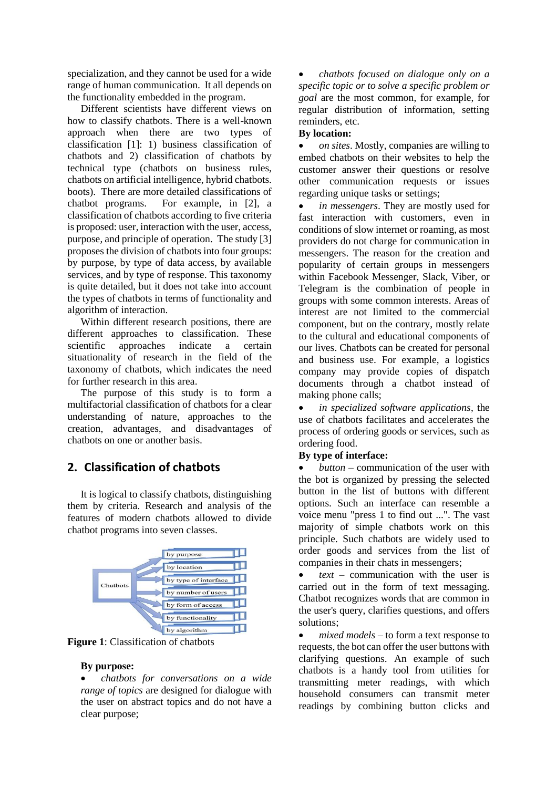specialization, and they cannot be used for a wide range of human communication. It all depends on the functionality embedded in the program.

Different scientists have different views on how to classify chatbots. There is a well-known approach when there are two types of classification [1]: 1) business classification of chatbots and 2) classification of chatbots by technical type (chatbots on business rules, chatbots on artificial intelligence, hybrid chatbots. boots). There are more detailed classifications of chatbot programs. For example, in [2], a classification of chatbots according to five criteria is proposed: user, interaction with the user, access, purpose, and principle of operation. The study [3] proposes the division of chatbots into four groups: by purpose, by type of data access, by available services, and by type of response. This taxonomy is quite detailed, but it does not take into account the types of chatbots in terms of functionality and algorithm of interaction.

Within different research positions, there are different approaches to classification. These scientific approaches indicate a certain situationality of research in the field of the taxonomy of chatbots, which indicates the need for further research in this area.

The purpose of this study is to form a multifactorial classification of chatbots for a clear understanding of nature, approaches to the creation, advantages, and disadvantages of chatbots on one or another basis.

# **2. Classification of chatbots**

It is logical to classify chatbots, distinguishing them by criteria. Research and analysis of the features of modern chatbots allowed to divide chatbot programs into seven classes.



**Figure 1**: Classification of chatbots

### **By purpose:**

 *chatbots for conversations on a wide range of topics* are designed for dialogue with the user on abstract topics and do not have a clear purpose;

 *chatbots focused on dialogue only on a specific topic or to solve a specific problem or goal* are the most common, for example, for regular distribution of information, setting reminders, etc.

### **By location:**

 *on sites*. Mostly, companies are willing to embed chatbots on their websites to help the customer answer their questions or resolve other communication requests or issues regarding unique tasks or settings;

 *in messengers*. They are mostly used for fast interaction with customers, even in conditions of slow internet or roaming, as most providers do not charge for communication in messengers. The reason for the creation and popularity of certain groups in messengers within Facebook Messenger, Slack, Viber, or Telegram is the combination of people in groups with some common interests. Areas of interest are not limited to the commercial component, but on the contrary, mostly relate to the cultural and educational components of our lives. Chatbots can be created for personal and business use. For example, a logistics company may provide copies of dispatch documents through a chatbot instead of making phone calls;

 *in specialized software applications*, the use of chatbots facilitates and accelerates the process of ordering goods or services, such as ordering food.

### **By type of interface:**

 *button* – communication of the user with the bot is organized by pressing the selected button in the list of buttons with different options. Such an interface can resemble a voice menu "press 1 to find out ...". The vast majority of simple chatbots work on this principle. Such chatbots are widely used to order goods and services from the list of companies in their chats in messengers;

• *text* – communication with the user is carried out in the form of text messaging. Chatbot recognizes words that are common in the user's query, clarifies questions, and offers solutions;

 *mixed models* – to form a text response to requests, the bot can offer the user buttons with clarifying questions. An example of such chatbots is a handy tool from utilities for transmitting meter readings, with which household consumers can transmit meter readings by combining button clicks and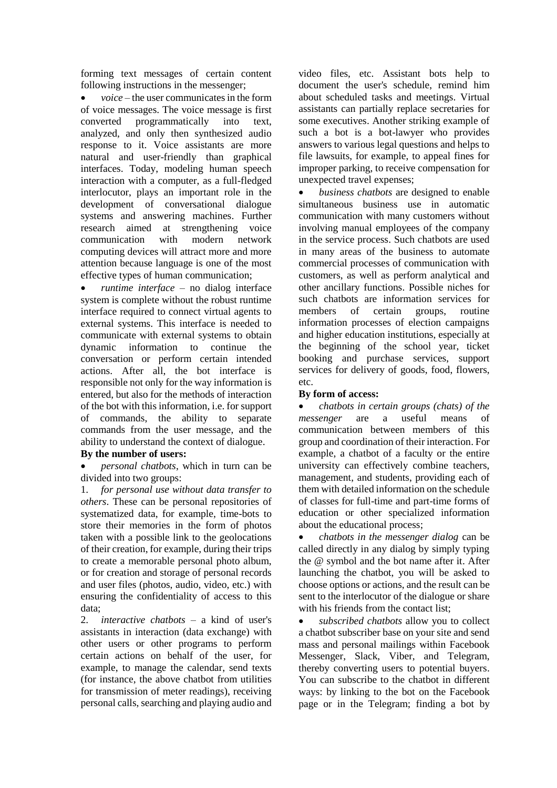forming text messages of certain content following instructions in the messenger;

 *voice* – the user communicates in the form of voice messages. The voice message is first converted programmatically into text, analyzed, and only then synthesized audio response to it. Voice assistants are more natural and user-friendly than graphical interfaces. Today, modeling human speech interaction with a computer, as a full-fledged interlocutor, plays an important role in the development of conversational dialogue systems and answering machines. Further research aimed at strengthening voice communication with modern network computing devices will attract more and more attention because language is one of the most effective types of human communication;

 *runtime interface* – no dialog interface system is complete without the robust runtime interface required to connect virtual agents to external systems. This interface is needed to communicate with external systems to obtain dynamic information to continue the conversation or perform certain intended actions. After all, the bot interface is responsible not only for the way information is entered, but also for the methods of interaction of the bot with this information, i.e. for support of commands, the ability to separate commands from the user message, and the ability to understand the context of dialogue.

#### **By the number of users:**

 *personal chatbots*, which in turn can be divided into two groups:

1. *for personal use without data transfer to others*. These can be personal repositories of systematized data, for example, time-bots to store their memories in the form of photos taken with a possible link to the geolocations of their creation, for example, during their trips to create a memorable personal photo album, or for creation and storage of personal records and user files (photos, audio, video, etc.) with ensuring the confidentiality of access to this data;

2. *interactive chatbots* – a kind of user's assistants in interaction (data exchange) with other users or other programs to perform certain actions on behalf of the user, for example, to manage the calendar, send texts (for instance, the above chatbot from utilities for transmission of meter readings), receiving personal calls, searching and playing audio and

video files, etc. Assistant bots help to document the user's schedule, remind him about scheduled tasks and meetings. Virtual assistants can partially replace secretaries for some executives. Another striking example of such a bot is a bot-lawyer who provides answers to various legal questions and helps to file lawsuits, for example, to appeal fines for improper parking, to receive compensation for unexpected travel expenses;

 *business chatbots* are designed to enable simultaneous business use in automatic communication with many customers without involving manual employees of the company in the service process. Such chatbots are used in many areas of the business to automate commercial processes of communication with customers, as well as perform analytical and other ancillary functions. Possible niches for such chatbots are information services for members of certain groups, routine information processes of election campaigns and higher education institutions, especially at the beginning of the school year, ticket booking and purchase services, support services for delivery of goods, food, flowers, etc.

#### **By form of access:**

 *chatbots in certain groups (chats) of the messenger* are a useful means of communication between members of this group and coordination of their interaction. For example, a chatbot of a faculty or the entire university can effectively combine teachers, management, and students, providing each of them with detailed information on the schedule of classes for full-time and part-time forms of education or other specialized information about the educational process;

 *chatbots in the messenger dialog* can be called directly in any dialog by simply typing the @ symbol and the bot name after it. After launching the chatbot, you will be asked to choose options or actions, and the result can be sent to the interlocutor of the dialogue or share with his friends from the contact list;

 *subscribed chatbots* allow you to collect a chatbot subscriber base on your site and send mass and personal mailings within Facebook Messenger, Slack, Viber, and Telegram, thereby converting users to potential buyers. You can subscribe to the chatbot in different ways: by linking to the bot on the Facebook page or in the Telegram; finding a bot by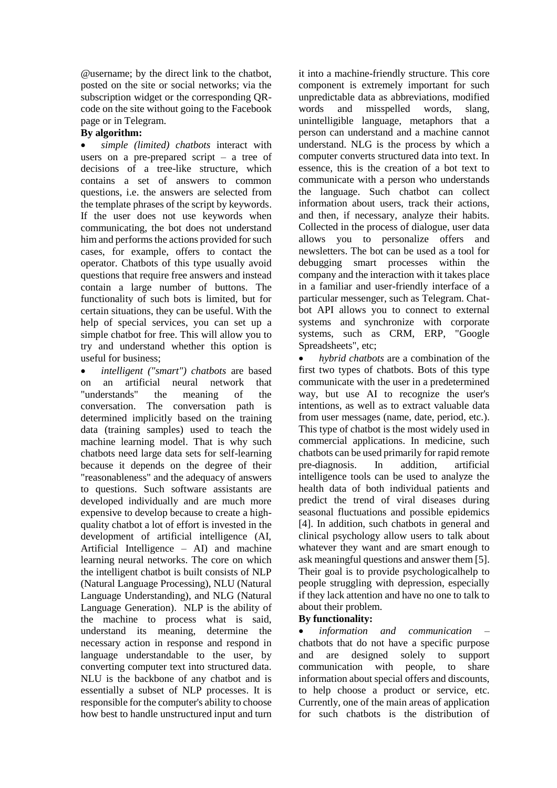@username; by the direct link to the chatbot, posted on the site or social networks; via the subscription widget or the corresponding QRcode on the site without going to the Facebook page or in Telegram.

#### **By algorithm:**

 *simple (limited) chatbots* interact with users on a pre-prepared script  $-$  a tree of decisions of a tree-like structure, which contains a set of answers to common questions, i.e. the answers are selected from the template phrases of the script by keywords. If the user does not use keywords when communicating, the bot does not understand him and performs the actions provided for such cases, for example, offers to contact the operator. Chatbots of this type usually avoid questions that require free answers and instead contain a large number of buttons. The functionality of such bots is limited, but for certain situations, they can be useful. With the help of special services, you can set up a simple chatbot for free. This will allow you to try and understand whether this option is useful for business;

 *intelligent ("smart") chatbots* are based on an artificial neural network that "understands" the meaning of the conversation. The conversation path is determined implicitly based on the training data (training samples) used to teach the machine learning model. That is why such chatbots need large data sets for self-learning because it depends on the degree of their "reasonableness" and the adequacy of answers to questions. Such software assistants are developed individually and are much more expensive to develop because to create a highquality chatbot a lot of effort is invested in the development of artificial intelligence (AI, Artificial Intelligence – AI) and machine learning neural networks. The core on which the intelligent chatbot is built consists of NLP (Natural Language Processing), NLU (Natural Language Understanding), and NLG (Natural Language Generation). NLP is the ability of the machine to process what is said, understand its meaning, determine the necessary action in response and respond in language understandable to the user, by converting computer text into structured data. NLU is the backbone of any chatbot and is essentially a subset of NLP processes. It is responsible for the computer's ability to choose how best to handle unstructured input and turn

it into a machine-friendly structure. This core component is extremely important for such unpredictable data as abbreviations, modified<br>words and misspelled words, slang, words and misspelled words, slang, unintelligible language, metaphors that a person can understand and a machine cannot understand. NLG is the process by which a computer converts structured data into text. In essence, this is the creation of a bot text to communicate with a person who understands the language. Such chatbot can collect information about users, track their actions, and then, if necessary, analyze their habits. Collected in the process of dialogue, user data allows you to personalize offers and newsletters. The bot can be used as a tool for debugging smart processes within the company and the interaction with it takes place in a familiar and user-friendly interface of a particular messenger, such as Telegram. Chatbot API allows you to connect to external systems and synchronize with corporate systems, such as CRM, ERP, "Google Spreadsheets", etc;

 *hybrid chatbots* are a combination of the first two types of chatbots. Bots of this type communicate with the user in a predetermined way, but use AI to recognize the user's intentions, as well as to extract valuable data from user messages (name, date, period, etc.). This type of chatbot is the most widely used in commercial applications. In medicine, such chatbots can be used primarily for rapid remote pre-diagnosis. In addition, artificial intelligence tools can be used to analyze the health data of both individual patients and predict the trend of viral diseases during seasonal fluctuations and possible epidemics [4]. In addition, such chatbots in general and clinical psychology allow users to talk about whatever they want and are smart enough to ask meaningful questions and answer them [5]. Their goal is to provide psychologicalhelp to people struggling with depression, especially if they lack attention and have no one to talk to about their problem.

### **By functionality:**

 *information and communication* – chatbots that do not have a specific purpose and are designed solely to support communication with people, to share information about special offers and discounts, to help choose a product or service, etc. Currently, one of the main areas of application for such chatbots is the distribution of